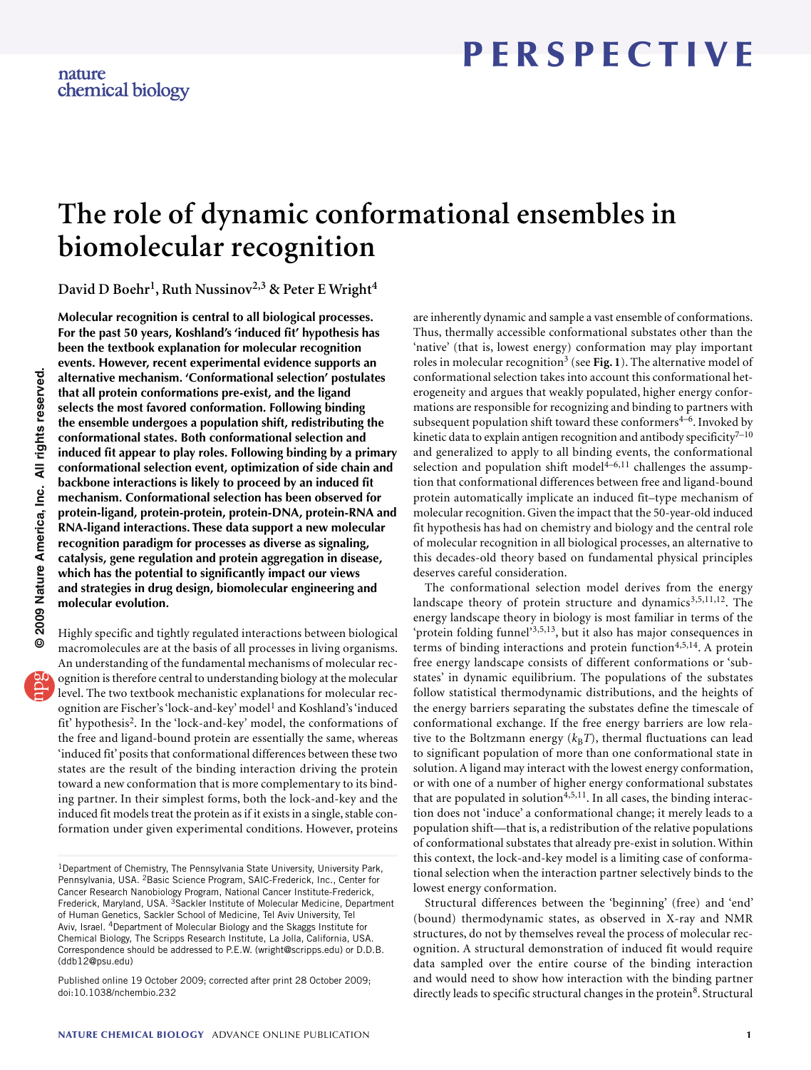# **PERSPECTIVE**

# **The role of dynamic conformational ensembles in biomolecular recognition**

David D Boehr<sup>1</sup>, Ruth Nussinov<sup>2,3</sup> & Peter E Wright<sup>4</sup>

**Molecular recognition is central to all biological processes. For the past 50 years, Koshland's 'induced fit' hypothesis has been the textbook explanation for molecular recognition events. However, recent experimental evidence supports an alternative mechanism. 'Conformational selection' postulates that all protein conformations pre-exist, and the ligand selects the most favored conformation. Following binding the ensemble undergoes a population shift, redistributing the conformational states. Both conformational selection and induced fit appear to play roles. Following binding by a primary conformational selection event, optimization of side chain and backbone interactions is likely to proceed by an induced fit mechanism. Conformational selection has been observed for protein-ligand, protein-protein, protein-DNA, protein-RNA and RNA-ligand interactions. These data support a new molecular recognition paradigm for processes as diverse as signaling, catalysis, gene regulation and protein aggregation in disease, which has the potential to significantly impact our views and strategies in drug design, biomolecular engineering and molecular evolution.**

Highly specific and tightly regulated interactions between biological macromolecules are at the basis of all processes in living organisms. An understanding of the fundamental mechanisms of molecular recognition is therefore central to understanding biology at the molecular level. The two textbook mechanistic explanations for molecular recognition are Fischer's 'lock-and-key' model<sup>1</sup> and Koshland's 'induced fit' hypothesis<sup>[2](#page-5-1)</sup>. In the 'lock-and-key' model, the conformations of the free and ligand-bound protein are essentially the same, whereas 'induced fit' posits that conformational differences between these two states are the result of the binding interaction driving the protein toward a new conformation that is more complementary to its binding partner. In their simplest forms, both the lock-and-key and the induced fit models treat the protein as if it exists in a single, stable conformation under given experimental conditions. However, proteins

are inherently dynamic and sample a vast ensemble of conformations. Thus, thermally accessible conformational substates other than the 'native' (that is, lowest energy) conformation may play important roles in molecular recognition<sup>[3](#page-5-2)</sup> (see [Fig. 1](#page-1-0)). The alternative model of conformational selection takes into account this conformational heterogeneity and argues that weakly populated, higher energy conformations are responsible for recognizing and binding to partners with subsequent population shift toward these conformers $4-6$ . Invoked by kinetic data to explain antigen recognition and antibody specificity $7-10$ and generalized to apply to all binding events, the conformational selection and population shift model $4-6,11$  challenges the assumption that conformational differences between free and ligand-bound protein automatically implicate an induced fit–type mechanism of molecular recognition. Given the impact that the 50-year-old induced fit hypothesis has had on chemistry and biology and the central role of molecular recognition in all biological processes, an alternative to this decades-old theory based on fundamental physical principles deserves careful consideration.

The conformational selection model derives from the energy landscape theory of protein structure and dynamics<sup>3,5,11,12</sup>. The energy landscape theory in biology is most familiar in terms of the 'protein folding funnel'3,5,13, but it also has major consequences in terms of binding interactions and protein function<sup>4,5,14</sup>. A protein free energy landscape consists of different conformations or 'substates' in dynamic equilibrium. The populations of the substates follow statistical thermodynamic distributions, and the heights of the energy barriers separating the substates define the timescale of conformational exchange. If the free energy barriers are low relative to the Boltzmann energy  $(k_B T)$ , thermal fluctuations can lead to significant population of more than one conformational state in solution. A ligand may interact with the lowest energy conformation, or with one of a number of higher energy conformational substates that are populated in solution<sup>4,5,11</sup>. In all cases, the binding interaction does not 'induce' a conformational change; it merely leads to a population shift—that is, a redistribution of the relative populations of conformational substates that already pre-exist in solution. Within this context, the lock-and-key model is a limiting case of conformational selection when the interaction partner selectively binds to the lowest energy conformation.

Structural differences between the 'beginning' (free) and 'end' (bound) thermodynamic states, as observed in X-ray and NMR structures, do not by themselves reveal the process of molecular recognition. A structural demonstration of induced fit would require data sampled over the entire course of the binding interaction and would need to show how interaction with the binding partner directly leads to specific structural changes in the protein<sup>8</sup>. Structural

<sup>&</sup>lt;sup>1</sup>Department of Chemistry, The Pennsylvania State University, University Park, Pennsylvania, USA. <sup>2</sup>Basic Science Program, SAIC-Frederick, Inc., Center for Cancer Research Nanobiology Program, National Cancer Institute-Frederick, Frederick, Maryland, USA. 3Sackler Institute of Molecular Medicine, Department of Human Genetics, Sackler School of Medicine, Tel Aviv University, Tel Aviv, Israel. 4Department of Molecular Biology and the Skaggs Institute for Chemical Biology, The Scripps Research Institute, La Jolla, California, USA. Correspondence should be addressed to P.E.W. (wright@scripps.edu) or D.D.B. (ddb12@psu.edu)

Published online 19 October 2009; corrected after print 28 October 2009; [doi:10.1038/nchembio.232](http://www.nature.com/doifinder/10.1038/nchembio.232)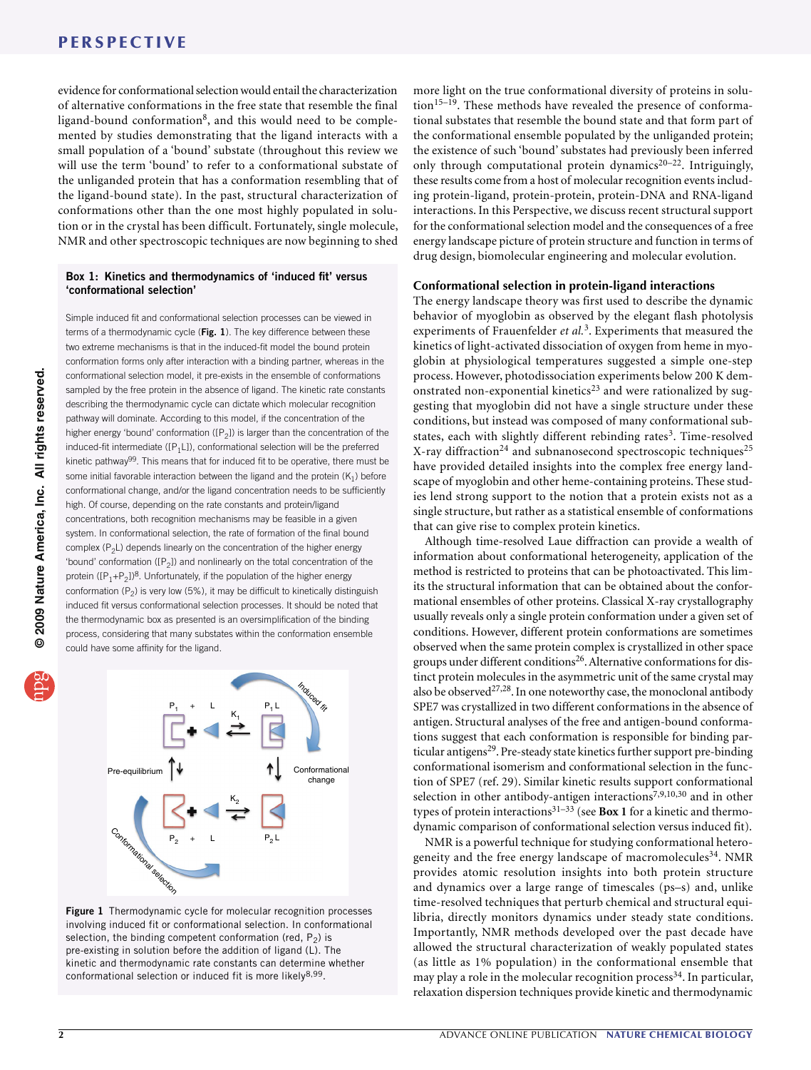### **PERSPECTIVE**

evidence for conformational selection would entail the characterization of alternative conformations in the free state that resemble the final ligand-bound conformation<sup>8</sup>, and this would need to be complemented by studies demonstrating that the ligand interacts with a small population of a 'bound' substate (throughout this review we will use the term 'bound' to refer to a conformational substate of the unliganded protein that has a conformation resembling that of the ligand-bound state). In the past, structural characterization of conformations other than the one most highly populated in solution or in the crystal has been difficult. Fortunately, single molecule, NMR and other spectroscopic techniques are now beginning to shed

#### **Box 1: Kinetics and thermodynamics of 'induced fit' versus 'conformational selection'**

Simple induced fit and conformational selection processes can be viewed in terms of a thermodynamic cycle (**[Fig. 1](#page-1-0)**). The key difference between these two extreme mechanisms is that in the induced-fit model the bound protein conformation forms only after interaction with a binding partner, whereas in the conformational selection model, it pre-exists in the ensemble of conformations sampled by the free protein in the absence of ligand. The kinetic rate constants describing the thermodynamic cycle can dictate which molecular recognition pathway will dominate. According to this model, if the concentration of the higher energy 'bound' conformation ( $[P_2]$ ) is larger than the concentration of the induced-fit intermediate ([P<sub>1</sub>L]), conformational selection will be the preferred kinetic pathway<sup>99</sup>. This means that for induced fit to be operative, there must be some initial favorable interaction between the ligand and the protein  $(K_1)$  before conformational change, and/or the ligand concentration needs to be sufficiently high. Of course, depending on the rate constants and protein/ligand concentrations, both recognition mechanisms may be feasible in a given system. In conformational selection, the rate of formation of the final bound complex (P<sub>2</sub>L) depends linearly on the concentration of the higher energy 'bound' conformation ( $[P_2]$ ) and nonlinearly on the total concentration of the protein ( $[P_1+P_2]$ )<sup>8</sup>. Unfortunately, if the population of the higher energy conformation ( $P_2$ ) is very low (5%), it may be difficult to kinetically distinguish induced fit versus conformational selection processes. It should be noted that the thermodynamic box as presented is an oversimplification of the binding process, considering that many substates within the conformation ensemble could have some affinity for the ligand.



<span id="page-1-0"></span>**Figure 1** Thermodynamic cycle for molecular recognition processes involving induced fit or conformational selection. In conformational selection, the binding competent conformation (red,  $P_2$ ) is pre-existing in solution before the addition of ligand (L). The kinetic and thermodynamic rate constants can determine whether conformational selection or induced fit is more likely8,99.

more light on the true conformational diversity of proteins in solution<sup>15–19</sup>. These methods have revealed the presence of conformational substates that resemble the bound state and that form part of the conformational ensemble populated by the unliganded protein; the existence of such 'bound' substates had previously been inferred only through computational protein dynamics<sup>20–22</sup>. Intriguingly, these results come from a host of molecular recognition events including protein-ligand, protein-protein, protein-DNA and RNA-ligand interactions. In this Perspective, we discuss recent structural support for the conformational selection model and the consequences of a free energy landscape picture of protein structure and function in terms of drug design, biomolecular engineering and molecular evolution.

#### **Conformational selection in protein-ligand interactions**

The energy landscape theory was first used to describe the dynamic behavior of myoglobin as observed by the elegant flash photolysis experiments of Frauenfelder *et al.*[3](#page-5-2). Experiments that measured the kinetics of light-activated dissociation of oxygen from heme in myoglobin at physiological temperatures suggested a simple one-step process. However, photodissociation experiments below 200 K demonstrated non-exponential kinetics<sup>23</sup> and were rationalized by suggesting that myoglobin did not have a single structure under these conditions, but instead was composed of many conformational sub-states, each with slightly different rebinding rates<sup>[3](#page-5-2)</sup>. Time-resolved X-ray diffraction<sup>24</sup> and subnanosecond spectroscopic techniques<sup>[25](#page-6-2)</sup> have provided detailed insights into the complex free energy landscape of myoglobin and other heme-containing proteins. These studies lend strong support to the notion that a protein exists not as a single structure, but rather as a statistical ensemble of conformations that can give rise to complex protein kinetics.

Although time-resolved Laue diffraction can provide a wealth of information about conformational heterogeneity, application of the method is restricted to proteins that can be photoactivated. This limits the structural information that can be obtained about the conformational ensembles of other proteins. Classical X-ray crystallography usually reveals only a single protein conformation under a given set of conditions. However, different protein conformations are sometimes observed when the same protein complex is crystallized in other space groups under different conditions<sup>26</sup>. Alternative conformations for distinct protein molecules in the asymmetric unit of the same crystal may also be observed<sup>27,28</sup>. In one noteworthy case, the monoclonal antibody SPE7 was crystallized in two different conformations in the absence of antigen. Structural analyses of the free and antigen-bound conformations suggest that each conformation is responsible for binding par-ticular antigens<sup>[29](#page-6-4)</sup>. Pre-steady state kinetics further support pre-binding conformational isomerism and conformational selection in the function of SPE7 (ref. 29). Similar kinetic results support conformational selection in other antibody-antigen interactions<sup>7,9,10,30</sup> and in other types of protein interactions31–33 (see **Box 1** for a kinetic and thermodynamic comparison of conformational selection versus induced fit).

NMR is a powerful technique for studying conformational hetero-geneity and the free energy landscape of macromolecules<sup>[34](#page-6-5)</sup>. NMR provides atomic resolution insights into both protein structure and dynamics over a large range of timescales (ps–s) and, unlike time-resolved techniques that perturb chemical and structural equilibria, directly monitors dynamics under steady state conditions. Importantly, NMR methods developed over the past decade have allowed the structural characterization of weakly populated states (as little as 1% population) in the conformational ensemble that may play a role in the molecular recognition process<sup>34</sup>. In particular, relaxation dispersion techniques provide kinetic and thermodynamic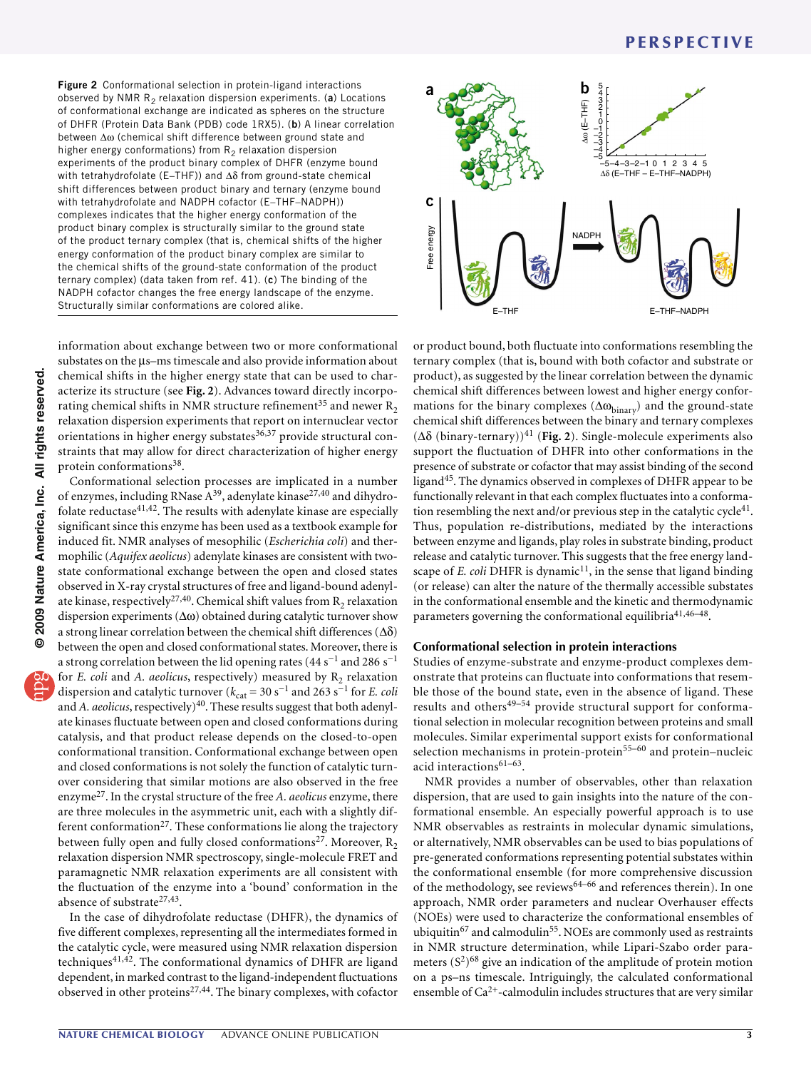<span id="page-2-0"></span>**Figure 2** Conformational selection in protein-ligand interactions<br>
observed by NMR R<sub>2</sub> relaxation dispersion experiments. (a) Locations<br>
of conformational exchange are indicated as spheres on the structure<br>
of DHFR (Pro observed by NMR R<sub>2</sub> relaxation dispersion experiments. (a) Locations of conformational exchange are indicated as spheres on the structure of DHFR (Protein Data Bank (PDB) code 1RX5). (**b**) A linear correlation between ∆ω (chemical shift difference between ground state and higher energy conformations) from  $R_2$  relaxation dispersion experiments of the product binary complex of DHFR (enzyme bound with tetrahydrofolate (E–THF)) and ∆δ from ground-state chemical shift differences between product binary and ternary (enzyme bound with tetrahydrofolate and NADPH cofactor (E–THF–NADPH)) complexes indicates that the higher energy conformation of the product binary complex is structurally similar to the ground state of the product ternary complex (that is, chemical shifts of the higher energy conformation of the product binary complex are similar to the chemical shifts of the ground-state conformation of the product ternary complex) (data taken from ref. 41). (**c**) The binding of the NADPH cofactor changes the free energy landscape of the enzyme. Structurally similar conformations are colored alike.

information about exchange between two or more conformational substates on the µs–ms timescale and also provide information about chemical shifts in the higher energy state that can be used to characterize its structure (see **[Fig. 2](#page-2-0)**). Advances toward directly incorporating chemical shifts in NMR structure refinement<sup>35</sup> and newer  $R_2$ relaxation dispersion experiments that report on internuclear vector orientations in higher energy substates<sup>36,37</sup> provide structural constraints that may allow for direct characterization of higher energy protein conformations<sup>[38](#page-6-7)</sup>.

Conformational selection processes are implicated in a number of enzymes, including RNase  $A^{39}$ , adenylate kinase<sup>27,40</sup> and dihydrofolate reductase $41,42$ . The results with adenylate kinase are especially significant since this enzyme has been used as a textbook example for induced fit. NMR analyses of mesophilic (*Escherichia coli*) and thermophilic (*Aquifex aeolicus*) adenylate kinases are consistent with twostate conformational exchange between the open and closed states observed in X-ray crystal structures of free and ligand-bound adenylate kinase, respectively<sup>27,40</sup>. Chemical shift values from  $R_2$  relaxation dispersion experiments (∆ω) obtained during catalytic turnover show a strong linear correlation between the chemical shift differences ( $\Delta\delta$ ) between the open and closed conformational states. Moreover, there is a strong correlation between the lid opening rates (44 s<sup>-1</sup> and 286 s<sup>-1</sup> for *E. coli* and *A. aeolicus*, respectively) measured by  $R_2$  relaxation dispersion and catalytic turnover ( $k_{\text{cat}} = 30 \text{ s}^{-1}$  and 263 s<sup>-1</sup> for *E. coli* and *A. aeolicus*, respectively)<sup>[40](#page-6-9)</sup>. These results suggest that both adenylate kinases fluctuate between open and closed conformations during catalysis, and that product release depends on the closed-to-open conformational transition. Conformational exchange between open and closed conformations is not solely the function of catalytic turnover considering that similar motions are also observed in the free enzyme[27](#page-6-10). In the crystal structure of the free *A. aeolicus* enzyme, there are three molecules in the asymmetric unit, each with a slightly dif-ferent conformation<sup>[27](#page-6-10)</sup>. These conformations lie along the trajectory between fully open and fully closed conformations<sup>[27](#page-6-10)</sup>. Moreover,  $R_2$ relaxation dispersion NMR spectroscopy, single-molecule FRET and paramagnetic NMR relaxation experiments are all consistent with the fluctuation of the enzyme into a 'bound' conformation in the absence of substrate<sup>27,43</sup>.

In the case of dihydrofolate reductase (DHFR), the dynamics of five different complexes, representing all the intermediates formed in the catalytic cycle, were measured using NMR relaxation dispersion techniques<sup>41,42</sup>. The conformational dynamics of DHFR are ligand dependent, in marked contrast to the ligand-independent fluctuations observed in other proteins<sup>27,44</sup>. The binary complexes, with cofactor



or product bound, both fluctuate into conformations resembling the ternary complex (that is, bound with both cofactor and substrate or product), as suggested by the linear correlation between the dynamic chemical shift differences between lowest and higher energy conformations for the binary complexes ( $\Delta \omega_{\text{binary}}$ ) and the ground-state chemical shift differences between the binary and ternary complexes (∆δ (binary-ternary))[41](#page-6-11) (**[Fig. 2](#page-2-0)**). Single-molecule experiments also support the fluctuation of DHFR into other conformations in the presence of substrate or cofactor that may assist binding of the second ligand[45](#page-6-12). The dynamics observed in complexes of DHFR appear to be functionally relevant in that each complex fluctuates into a conformation resembling the next and/or previous step in the catalytic cycle $41$ . Thus, population re-distributions, mediated by the interactions between enzyme and ligands, play roles in substrate binding, product release and catalytic turnover. This suggests that the free energy landscape of *E. coli* DHFR is dynamic<sup>[11](#page-5-4)</sup>, in the sense that ligand binding (or release) can alter the nature of the thermally accessible substates in the conformational ensemble and the kinetic and thermodynamic parameters governing the conformational equilibria<sup>41,46-48</sup>. Engel and the moleculin in the conformation of the base of calmodinal incorrelation or product bound, both through the moleculin includes in product be calmodinal in the case of column (that is, bound with both cofactor a

#### **Conformational selection in protein interactions**

Studies of enzyme-substrate and enzyme-product complexes demonstrate that proteins can fluctuate into conformations that resemble those of the bound state, even in the absence of ligand. These results and others<sup>49-54</sup> provide structural support for conformational selection in molecular recognition between proteins and small molecules. Similar experimental support exists for conformational selection mechanisms in protein-protein<sup>55–60</sup> and protein–nucleic acid interactions<sup>61-63</sup>.

NMR provides a number of observables, other than relaxation dispersion, that are used to gain insights into the nature of the conformational ensemble. An especially powerful approach is to use NMR observables as restraints in molecular dynamic simulations, or alternatively, NMR observables can be used to bias populations of pre-generated conformations representing potential substates within the conformational ensemble (for more comprehensive discussion of the methodology, see reviews64–66 and references therein). In one approach, NMR order parameters and nuclear Overhauser effects (NOEs) were used to characterize the conformational ensembles of ubiquitin<sup>67</sup> and calmodulin<sup>55</sup>. NOEs are commonly used as restraints in NMR structure determination, while Lipari-Szabo order parameters  $(S<sup>2</sup>)<sup>68</sup>$  give an indication of the amplitude of protein motion on a ps–ns timescale. Intriguingly, the calculated conformational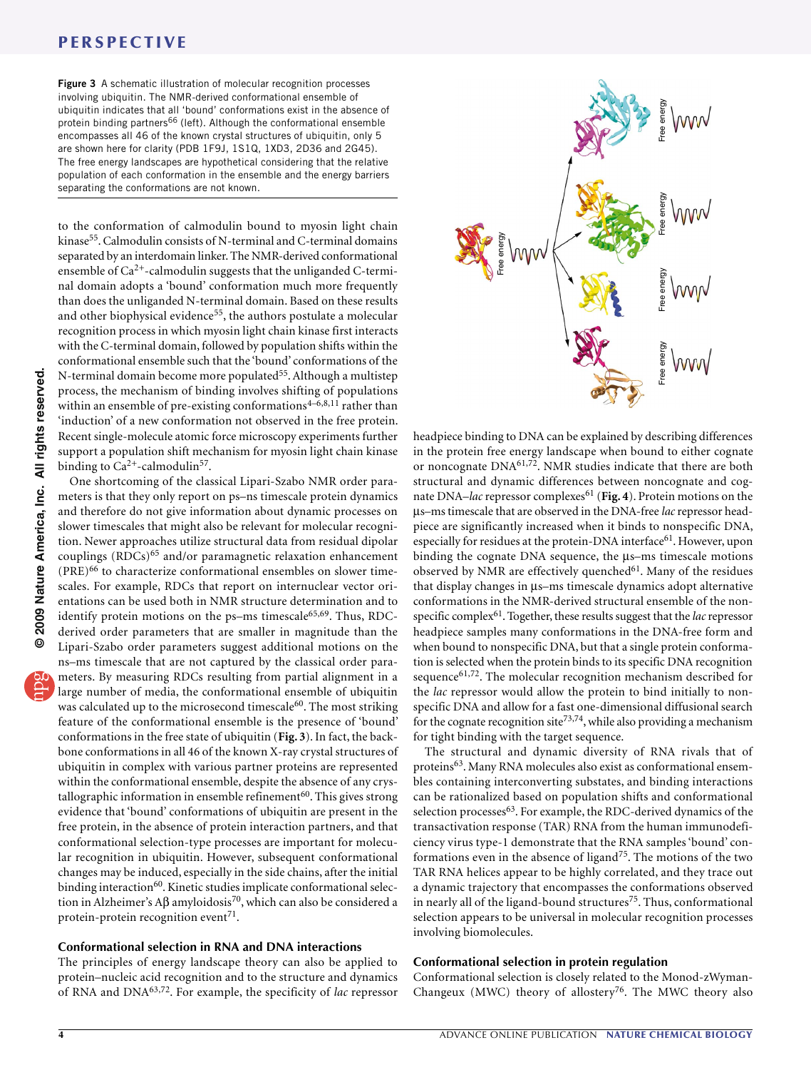<span id="page-3-0"></span>**Figure 3** A schematic illustration of molecular recognition processes involving ubiquitin. The NMR-derived conformational ensemble of ubiquitin indicates that all 'bound' conformations exist in the absence of protein binding partners<sup>[66](#page-6-18)</sup> (left). Although the conformational ensemble encompasses all 46 of the known crystal structures of ubiquitin, only 5 are shown here for clarity (PDB 1F9J, 1S1Q, 1XD3, 2D36 and 2G45). The free energy landscapes are hypothetical considering that the relative population of each conformation in the ensemble and the energy barriers separating the conformations are not known.

to the conformation of calmodulin bound to myosin light chain kinase<sup>55</sup>. Calmodulin consists of N-terminal and C-terminal domains separated by an interdomain linker. The NMR-derived conformational ensemble of Ca2+-calmodulin suggests that the unliganded C-terminal domain adopts a 'bound' conformation much more frequently than does the unliganded N-terminal domain. Based on these results and other biophysical evidence<sup>[55](#page-6-14)</sup>, the authors postulate a molecular recognition process in which myosin light chain kinase first interacts with the C-terminal domain, followed by population shifts within the conformational ensemble such that the 'bound' conformations of the N-terminal domain become more populated<sup>55</sup>. Although a multistep process, the mechanism of binding involves shifting of populations within an ensemble of pre-existing conformations<sup> $4-6,8,11$ </sup> rather than 'induction' of a new conformation not observed in the free protein. Recent single-molecule atomic force microscopy experiments further support a population shift mechanism for myosin light chain kinase binding to  $Ca^{2+}$ -calmodulin<sup>57</sup>.

One shortcoming of the classical Lipari-Szabo NMR order parameters is that they only report on ps–ns timescale protein dynamics and therefore do not give information about dynamic processes on slower timescales that might also be relevant for molecular recognition. Newer approaches utilize structural data from residual dipolar couplings (RDCs)[65](#page-6-17) and/or paramagnetic relaxation enhancement (PRE)<sup>[66](#page-6-18)</sup> to characterize conformational ensembles on slower timescales. For example, RDCs that report on internuclear vector orientations can be used both in NMR structure determination and to identify protein motions on the ps–ms timescale $65,69$ . Thus, RDCderived order parameters that are smaller in magnitude than the Lipari-Szabo order parameters suggest additional motions on the ns–ms timescale that are not captured by the classical order parameters. By measuring RDCs resulting from partial alignment in a large number of media, the conformational ensemble of ubiquitin was calculated up to the microsecond timescale<sup>[60](#page-6-19)</sup>. The most striking feature of the conformational ensemble is the presence of 'bound' conformations in the free state of ubiquitin (**[Fig. 3](#page-3-0)**). In fact, the backbone conformations in all 46 of the known X-ray crystal structures of ubiquitin in complex with various partner proteins are represented within the conformational ensemble, despite the absence of any crystallographic information in ensemble refinement<sup>60</sup>. This gives strong evidence that 'bound' conformations of ubiquitin are present in the free protein, in the absence of protein interaction partners, and that conformational selection-type processes are important for molecular recognition in ubiquitin. However, subsequent conformational changes may be induced, especially in the side chains, after the initial binding interaction<sup>[60](#page-6-19)</sup>. Kinetic studies implicate conformational selection in Alzheimer's A $\beta$  amyloidosis<sup>[70](#page-6-20)</sup>, which can also be considered a protein-protein recognition event<sup>[71](#page-6-21)</sup>.

#### **Conformational selection in RNA and DNA interactions**

The principles of energy landscape theory can also be applied to protein–nucleic acid recognition and to the structure and dynamics of RNA and DNA63,72. For example, the specificity of *lac* repressor



headpiece binding to DNA can be explained by describing differences in the protein free energy landscape when bound to either cognate or noncognate DNA61,72. NMR studies indicate that there are both structural and dynamic differences between noncognate and cognate DNA–*lac* repressor complexes<sup>[61](#page-6-22)</sup> ([Fig. 4](#page-4-0)). Protein motions on the µs–ms timescale that are observed in the DNA-free *lac* repressor headpiece are significantly increased when it binds to nonspecific DNA, especially for residues at the protein-DNA interface<sup>61</sup>. However, upon binding the cognate DNA sequence, the µs–ms timescale motions observed by NMR are effectively quenched<sup>61</sup>. Many of the residues that display changes in µs–ms timescale dynamics adopt alternative conformations in the NMR-derived structural ensemble of the nonspecific complex[61](#page-6-22). Together, these results suggest that the *lac* repressor headpiece samples many conformations in the DNA-free form and when bound to nonspecific DNA, but that a single protein conformation is selected when the protein binds to its specific DNA recognition sequence<sup>61,72</sup>. The molecular recognition mechanism described for the *lac* repressor would allow the protein to bind initially to nonspecific DNA and allow for a fast one-dimensional diffusional search for the cognate recognition site<sup>73,74</sup>, while also providing a mechanism for tight binding with the target sequence. ENERGY (WWW)<br>
Changeux (MWC)<br>
Changeux (MWC)<br>
Changeux (MWC)<br>
Consider the protein free energy Free energy Free energy Free energy Free energy Free energy Free energy Free energy Free energy Free energy Free energy Free e

The structural and dynamic diversity of RNA rivals that of proteins<sup>[63](#page-6-23)</sup>. Many RNA molecules also exist as conformational ensembles containing interconverting substates, and binding interactions can be rationalized based on population shifts and conformational selection processes<sup>[63](#page-6-23)</sup>. For example, the RDC-derived dynamics of the transactivation response (TAR) RNA from the human immunodeficiency virus type-1 demonstrate that the RNA samples 'bound' conformations even in the absence of ligand<sup>75</sup>. The motions of the two TAR RNA helices appear to be highly correlated, and they trace out a dynamic trajectory that encompasses the conformations observed in nearly all of the ligand-bound structures<sup>[75](#page-6-24)</sup>. Thus, conformational selection appears to be universal in molecular recognition processes involving biomolecules.

#### **Conformational selection in protein regulation**

Conformational selection is closely related to the Monod-zWyman-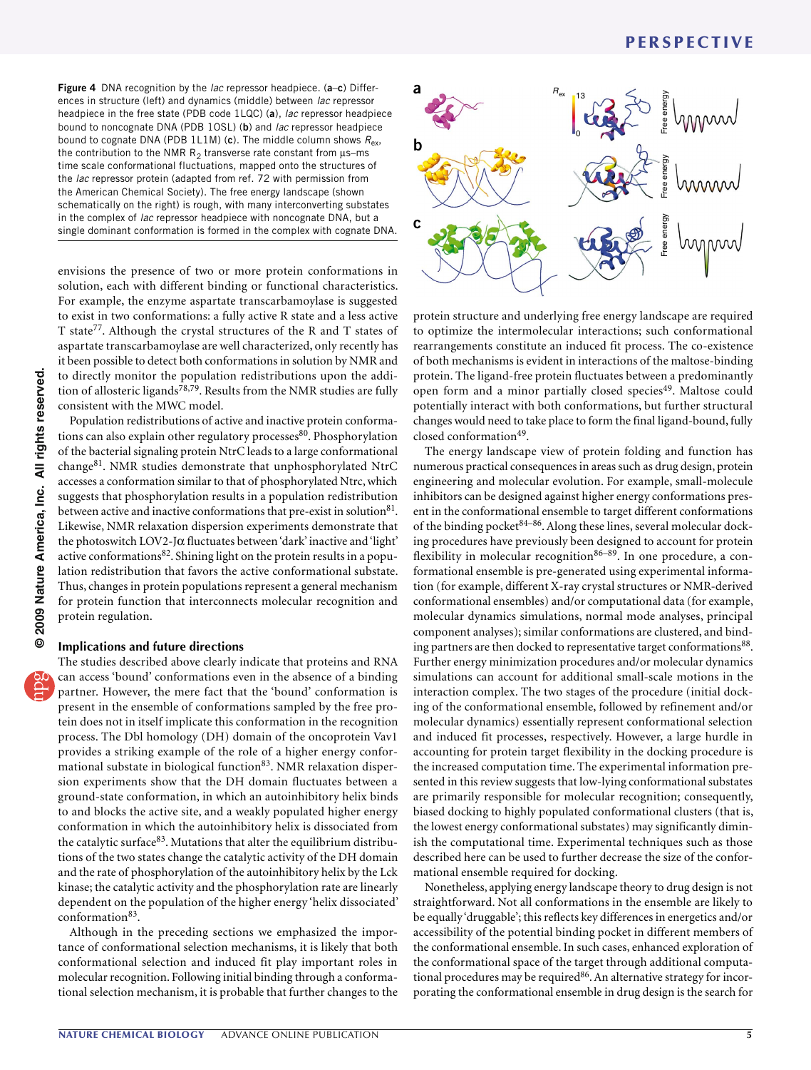<span id="page-4-0"></span>**Figure 4** DNA recognition by the *lac* repressor headpiece. (**a**–**c**) Differences in structure (left) and dynamics (middle) between *lac* repressor headpiece in the free state (PDB code 1LQC) (**a**), *lac* repressor headpiece bound to noncognate DNA (PDB 1OSL) (**b**) and *lac* repressor headpiece bound to cognate DNA (PDB 1L1M) (**c**). The middle column shows *R*ex, the contribution to the NMR  $R_2$  transverse rate constant from  $\mu$ s–ms time scale conformational fluctuations, mapped onto the structures of the *lac* repressor protein (adapted from ref. 72 with permission from the American Chemical Society). The free energy landscape (shown schematically on the right) is rough, with many interconverting substates in the complex of *lac* repressor headpiece with noncognate DNA, but a single dominant conformation is formed in the complex with cognate DNA.

envisions the presence of two or more protein conformations in solution, each with different binding or functional characteristics. For example, the enzyme aspartate transcarbamoylase is suggested to exist in two conformations: a fully active R state and a less active T state[77.](#page-7-0) Although the crystal structures of the R and T states of aspartate transcarbamoylase are well characterized, only recently has it been possible to detect both conformations in solution by NMR and to directly monitor the population redistributions upon the addition of allosteric ligands<sup>78,79</sup>. Results from the NMR studies are fully consistent with the MWC model.

Population redistributions of active and inactive protein conformations can also explain other regulatory processes<sup>80</sup>. Phosphorylation of the bacterial signaling protein NtrC leads to a large conformational change<sup>[81](#page-7-2)</sup>. NMR studies demonstrate that unphosphorylated NtrC accesses a conformation similar to that of phosphorylated Ntrc, which suggests that phosphorylation results in a population redistribution between active and inactive conformations that pre-exist in solution<sup>81</sup>. Likewise, NMR relaxation dispersion experiments demonstrate that the photoswitch LOV2-Jα fluctuates between 'dark' inactive and 'light' active conformations<sup>82</sup>. Shining light on the protein results in a population redistribution that favors the active conformational substate. Thus, changes in protein populations represent a general mechanism for protein function that interconnects molecular recognition and protein regulation.

#### **Implications and future directions**

The studies described above clearly indicate that proteins and RNA can access 'bound' conformations even in the absence of a binding partner. However, the mere fact that the 'bound' conformation is present in the ensemble of conformations sampled by the free protein does not in itself implicate this conformation in the recognition process. The Dbl homology (DH) domain of the oncoprotein Vav1 provides a striking example of the role of a higher energy confor-mational substate in biological function<sup>[83](#page-7-4)</sup>. NMR relaxation dispersion experiments show that the DH domain fluctuates between a ground-state conformation, in which an autoinhibitory helix binds to and blocks the active site, and a weakly populated higher energy conformation in which the autoinhibitory helix is dissociated from the catalytic surface<sup>[83](#page-7-4)</sup>. Mutations that alter the equilibrium distributions of the two states change the catalytic activity of the DH domain and the rate of phosphorylation of the autoinhibitory helix by the Lck kinase; the catalytic activity and the phosphorylation rate are linearly dependent on the population of the higher energy 'helix dissociated' conformation<sup>83</sup>.

Although in the preceding sections we emphasized the importance of conformational selection mechanisms, it is likely that both conformational selection and induced fit play important roles in molecular recognition. Following initial binding through a conformational selection mechanism, it is probable that further changes to the



protein structure and underlying free energy landscape are required to optimize the intermolecular interactions; such conformational rearrangements constitute an induced fit process. The co-existence of both mechanisms is evident in interactions of the maltose-binding protein. The ligand-free protein fluctuates between a predominantly open form and a minor partially closed species<sup>[49](#page-6-26)</sup>. Maltose could potentially interact with both conformations, but further structural changes would need to take place to form the final ligand-bound, fully closed conformation<sup>[49](#page-6-26)</sup>.

The energy landscape view of protein folding and function has numerous practical consequences in areas such as drug design, protein engineering and molecular evolution. For example, small-molecule inhibitors can be designed against higher energy conformations present in the conformational ensemble to target different conformations of the binding pocket<sup>84-86</sup>. Along these lines, several molecular docking procedures have previously been designed to account for protein flexibility in molecular recognition<sup>86-89</sup>. In one procedure, a conformational ensemble is pre-generated using experimental information (for example, different X-ray crystal structures or NMR-derived conformational ensembles) and/or computational data (for example, molecular dynamics simulations, normal mode analyses, principal component analyses); similar conformations are clustered, and binding partners are then docked to representative target conformations<sup>88</sup>. Further energy minimization procedures and/or molecular dynamics simulations can account for additional small-scale motions in the interaction complex. The two stages of the procedure (initial docking of the conformational ensemble, followed by refinement and/or molecular dynamics) essentially represent conformational selection and induced fit processes, respectively. However, a large hurdle in accounting for protein target flexibility in the docking procedure is the increased computation time. The experimental information presented in this review suggests that low-lying conformational substates are primarily responsible for molecular recognition; consequently, biased docking to highly populated conformational clusters (that is, the lowest energy conformational substates) may significantly diminish the computational time. Experimental techniques such as those described here can be used to further decrease the size of the conformational ensemble required for docking.

Nonetheless, applying energy landscape theory to drug design is not straightforward. Not all conformations in the ensemble are likely to be equally 'druggable'; this reflects key differences in energetics and/or accessibility of the potential binding pocket in different members of the conformational ensemble. In such cases, enhanced exploration of the conformational space of the target through additional computational procedures may be required<sup>86</sup>. An alternative strategy for incorporating the conformational ensemble in drug design is the search for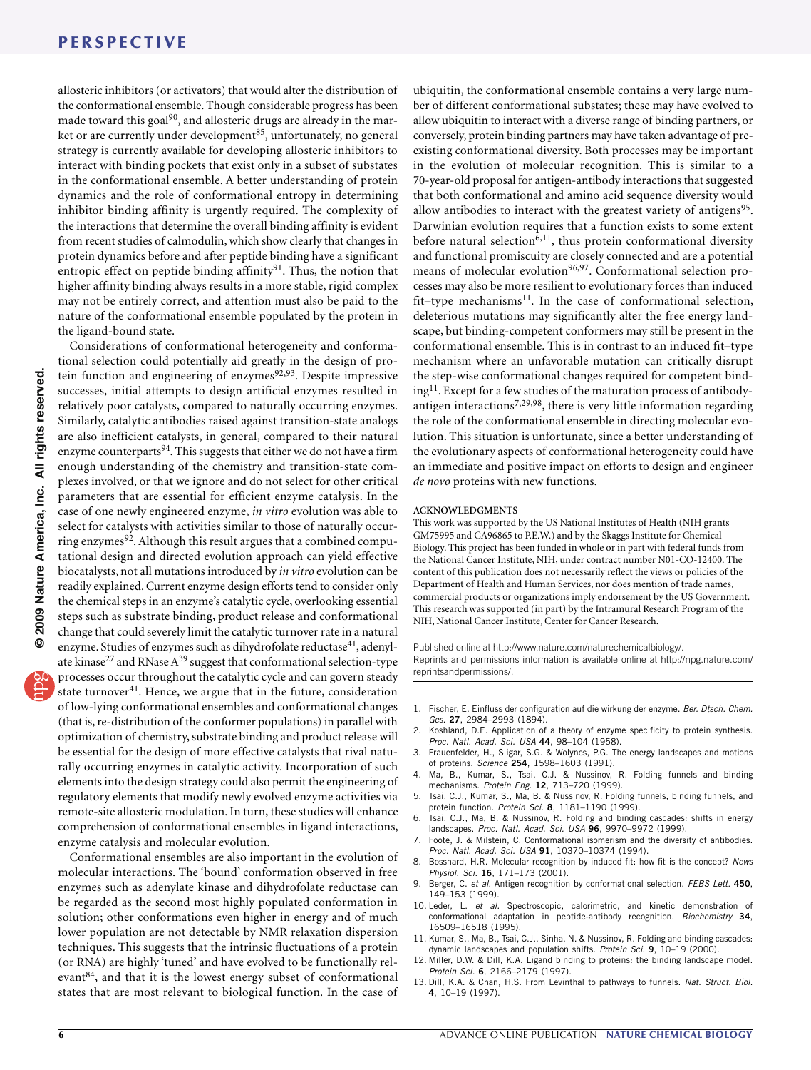allosteric inhibitors (or activators) that would alter the distribution of the conformational ensemble. Though considerable progress has been made toward this goal $90$ , and allosteric drugs are already in the mar-ket or are currently under development<sup>[85](#page-7-8)</sup>, unfortunately, no general strategy is currently available for developing allosteric inhibitors to interact with binding pockets that exist only in a subset of substates in the conformational ensemble. A better understanding of protein dynamics and the role of conformational entropy in determining inhibitor binding affinity is urgently required. The complexity of the interactions that determine the overall binding affinity is evident from recent studies of calmodulin, which show clearly that changes in protein dynamics before and after peptide binding have a significant entropic effect on peptide binding affinity $91$ . Thus, the notion that higher affinity binding always results in a more stable, rigid complex may not be entirely correct, and attention must also be paid to the nature of the conformational ensemble populated by the protein in the ligand-bound state.

Considerations of conformational heterogeneity and conformational selection could potentially aid greatly in the design of protein function and engineering of enzymes $92,93$ . Despite impressive successes, initial attempts to design artificial enzymes resulted in relatively poor catalysts, compared to naturally occurring enzymes. Similarly, catalytic antibodies raised against transition-state analogs are also inefficient catalysts, in general, compared to their natural enzyme counterparts $94$ . This suggests that either we do not have a firm enough understanding of the chemistry and transition-state complexes involved, or that we ignore and do not select for other critical parameters that are essential for efficient enzyme catalysis. In the case of one newly engineered enzyme, *in vitro* evolution was able to select for catalysts with activities similar to those of naturally occurring enzymes<sup>92</sup>. Although this result argues that a combined computational design and directed evolution approach can yield effective biocatalysts, not all mutations introduced by *in vitro* evolution can be readily explained. Current enzyme design efforts tend to consider only the chemical steps in an enzyme's catalytic cycle, overlooking essential steps such as substrate binding, product release and conformational change that could severely limit the catalytic turnover rate in a natural enzyme. Studies of enzymes such as dihydrofolate reductase<sup>41</sup>, adenylate kinase<sup>27</sup> and RNase  $A^{39}$  $A^{39}$  $A^{39}$  suggest that conformational selection-type processes occur throughout the catalytic cycle and can govern steady state turnover $41$ . Hence, we argue that in the future, consideration of low-lying conformational ensembles and conformational changes (that is, re-distribution of the conformer populations) in parallel with optimization of chemistry, substrate binding and product release will be essential for the design of more effective catalysts that rival naturally occurring enzymes in catalytic activity. Incorporation of such elements into the design strategy could also permit the engineering of regulatory elements that modify newly evolved enzyme activities via remote-site allosteric modulation. In turn, these studies will enhance comprehension of conformational ensembles in ligand interactions,

Conformational ensembles are also important in the evolution of molecular interactions. The 'bound' conformation observed in free enzymes such as adenylate kinase and dihydrofolate reductase can be regarded as the second most highly populated conformation in solution; other conformations even higher in energy and of much lower population are not detectable by NMR relaxation dispersion techniques. This suggests that the intrinsic fluctuations of a protein (or RNA) are highly 'tuned' and have evolved to be functionally relevant $84$ , and that it is the lowest energy subset of conformational states that are most relevant to biological function. In the case of

enzyme catalysis and molecular evolution.

ubiquitin, the conformational ensemble contains a very large number of different conformational substates; these may have evolved to allow ubiquitin to interact with a diverse range of binding partners, or conversely, protein binding partners may have taken advantage of preexisting conformational diversity. Both processes may be important in the evolution of molecular recognition. This is similar to a 70-year-old proposal for antigen-antibody interactions that suggested that both conformational and amino acid sequence diversity would allow antibodies to interact with the greatest variety of antigens<sup>95</sup>. Darwinian evolution requires that a function exists to some extent before natural selection<sup> $6,11$ </sup>, thus protein conformational diversity and functional promiscuity are closely connected and are a potential means of molecular evolution<sup>96,97</sup>. Conformational selection processes may also be more resilient to evolutionary forces than induced fit-type mechanisms $^{11}$  $^{11}$  $^{11}$ . In the case of conformational selection, deleterious mutations may significantly alter the free energy landscape, but binding-competent conformers may still be present in the conformational ensemble. This is in contrast to an induced fit–type mechanism where an unfavorable mutation can critically disrupt the step-wise conformational changes required for competent binding[11.](#page-5-4) Except for a few studies of the maturation process of antibodyantigen interactions<sup>7,29,98</sup>, there is very little information regarding the role of the conformational ensemble in directing molecular evolution. This situation is unfortunate, since a better understanding of the evolutionary aspects of conformational heterogeneity could have an immediate and positive impact on efforts to design and engineer *de novo* proteins with new functions.

#### **Acknowledgments**

This work was supported by the US National Institutes of Health (NIH grants GM75995 and CA96865 to P.E.W.) and by the Skaggs Institute for Chemical Biology. This project has been funded in whole or in part with federal funds from the National Cancer Institute, NIH, under contract number N01-CO-12400. The content of this publication does not necessarily reflect the views or policies of the Department of Health and Human Services, nor does mention of trade names, commercial products or organizations imply endorsement by the US Government. This research was supported (in part) by the Intramural Research Program of the NIH, National Cancer Institute, Center for Cancer Research.

Published online at http://www.nature.com/naturechemicalbiology/. Reprints and permissions information is available online at http://npg.nature.com/ reprintsandpermissions/.

- <span id="page-5-0"></span>1. Fischer, E. Einfluss der configuration auf die wirkung der enzyme. *Ber. Dtsch. Chem. Ges.* **27**, 2984–2993 (1894).
- <span id="page-5-1"></span>2. Koshland, D.E. Application of a theory of enzyme specificity to protein synthesis. *Proc. Natl. Acad. Sci. USA* **44**, 98–104 (1958).
- <span id="page-5-2"></span>3. Frauenfelder, H., Sligar, S.G. & Wolynes, P.G. The energy landscapes and motions of proteins. *Science* **254**, 1598–1603 (1991).
- 4. Ma, B., Kumar, S., Tsai, C.J. & Nussinov, R. Folding funnels and binding mechanisms. *Protein Eng.* **12**, 713–720 (1999).
- 5. Tsai, C.J., Kumar, S., Ma, B. & Nussinov, R. Folding funnels, binding funnels, and protein function. *Protein Sci.* **8**, 1181–1190 (1999).
- 6. Tsai, C.J., Ma, B. & Nussinov, R. Folding and binding cascades: shifts in energy landscapes. *Proc. Natl. Acad. Sci. USA* **96**, 9970–9972 (1999).
- 7. Foote, J. & Milstein, C. Conformational isomerism and the diversity of antibodies. *Proc. Natl. Acad. Sci. USA* **91**, 10370–10374 (1994).
- <span id="page-5-3"></span>8. Bosshard, H.R. Molecular recognition by induced fit: how fit is the concept? *News Physiol. Sci.* **16**, 171–173 (2001).
- 9. Berger, C. *et al.* Antigen recognition by conformational selection. *FEBS Lett.* **450**, 149–153 (1999).
- 10. Leder, L. *et al.* Spectroscopic, calorimetric, and kinetic demonstration of conformational adaptation in peptide-antibody recognition. *Biochemistry* **34**, 16509–16518 (1995).
- <span id="page-5-4"></span>11. Kumar, S., Ma, B., Tsai, C.J., Sinha, N. & Nussinov, R. Folding and binding cascades: dynamic landscapes and population shifts. *Protein Sci.* **9**, 10–19 (2000).
- 12. Miller, D.W. & Dill, K.A. Ligand binding to proteins: the binding landscape model. *Protein Sci.* **6**, 2166–2179 (1997).
- 13. Dill, K.A. & Chan, H.S. From Levinthal to pathways to funnels. *Nat. Struct. Biol.* **4**, 10–19 (1997).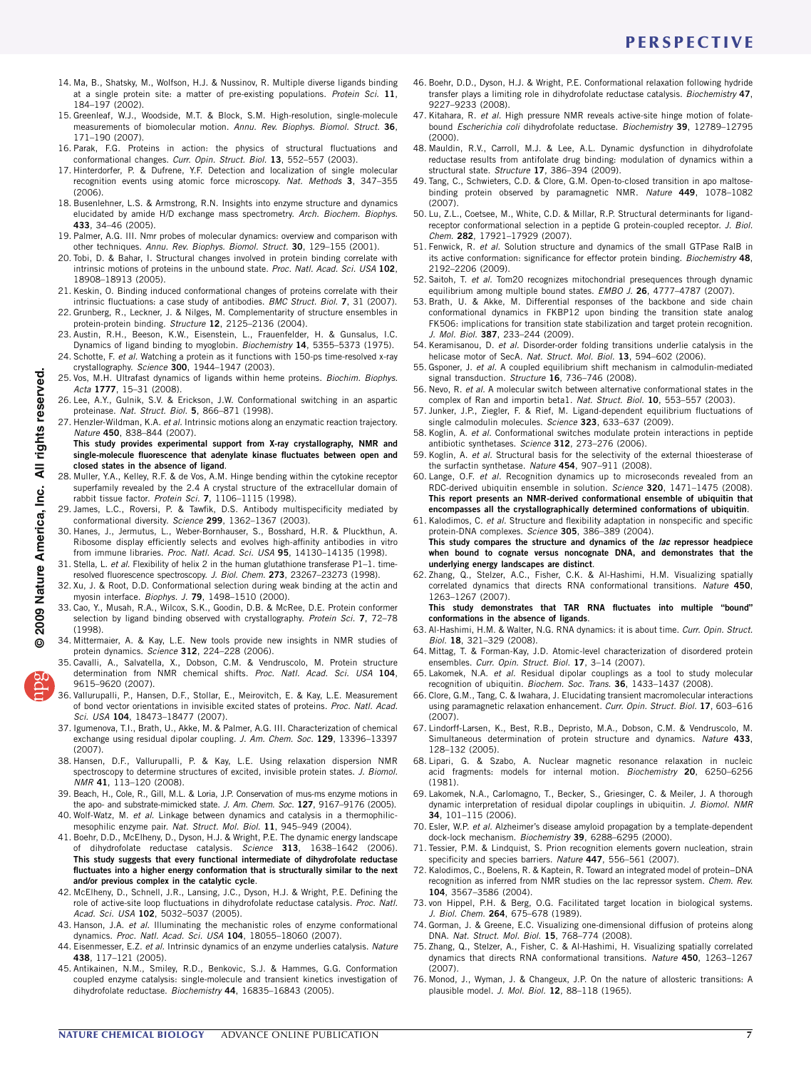- 14. Ma, B., Shatsky, M., Wolfson, H.J. & Nussinov, R. Multiple diverse ligands binding at a single protein site: a matter of pre-existing populations. *Protein Sci.* **11**, 184–197 (2002).
- 15. Greenleaf, W.J., Woodside, M.T. & Block, S.M. High-resolution, single-molecule measurements of biomolecular motion. *Annu. Rev. Biophys. Biomol. Struct.* **36**, 171–190 (2007).
- 16. Parak, F.G. Proteins in action: the physics of structural fluctuations and conformational changes. *Curr. Opin. Struct. Biol.* **13**, 552–557 (2003).
- 17. Hinterdorfer, P. & Dufrene, Y.F. Detection and localization of single molecular recognition events using atomic force microscopy. *Nat. Methods* **3**, 347–355 (2006).
- 18. Busenlehner, L.S. & Armstrong, R.N. Insights into enzyme structure and dynamics elucidated by amide H/D exchange mass spectrometry. *Arch. Biochem. Biophys.* **433**, 34–46 (2005).
- 19. Palmer, A.G. III. Nmr probes of molecular dynamics: overview and comparison with other techniques. *Annu. Rev. Biophys. Biomol. Struct.* **30**, 129–155 (2001).
- 20. Tobi, D. & Bahar, I. Structural changes involved in protein binding correlate with intrinsic motions of proteins in the unbound state. *Proc. Natl. Acad. Sci. USA* **102**, 18908–18913 (2005).
- 21. Keskin, O. Binding induced conformational changes of proteins correlate with their intrinsic fluctuations: a case study of antibodies. *BMC Struct. Biol.* **7**, 31 (2007).
- 22. Grunberg, R., Leckner, J. & Nilges, M. Complementarity of structure ensembles in protein-protein binding. *Structure* **12**, 2125–2136 (2004).
- <span id="page-6-0"></span>23. Austin, R.H., Beeson, K.W., Eisenstein, L., Frauenfelder, H. & Gunsalus, I.C. Dynamics of ligand binding to myoglobin. *Biochemistry* **14**, 5355–5373 (1975).
- <span id="page-6-1"></span>24. Schotte, F. *et al.* Watching a protein as it functions with 150-ps time-resolved x-ray crystallography. *Science* **300**, 1944–1947 (2003).
- <span id="page-6-2"></span>25. Vos, M.H. Ultrafast dynamics of ligands within heme proteins. *Biochim. Biophys. Acta* **1777**, 15–31 (2008).
- <span id="page-6-3"></span>26. Lee, A.Y., Gulnik, S.V. & Erickson, J.W. Conformational switching in an aspartic proteinase. *Nat. Struct. Biol.* **5**, 866–871 (1998).
- <span id="page-6-10"></span>27. Henzler-Wildman, K.A. *et al.* Intrinsic motions along an enzymatic reaction trajectory. *Nature* **450**, 838–844 (2007).
- **This study provides experimental support from X-ray crystallography, NMR and single-molecule fluorescence that adenylate kinase fluctuates between open and closed states in the absence of ligand**.
- 28. Muller, Y.A., Kelley, R.F. & de Vos, A.M. Hinge bending within the cytokine receptor superfamily revealed by the 2.4 A crystal structure of the extracellular domain of rabbit tissue factor. *Protein Sci.* **7**, 1106–1115 (1998).
- <span id="page-6-4"></span>29. James, L.C., Roversi, P. & Tawfik, D.S. Antibody multispecificity mediated by conformational diversity. *Science* **299**, 1362–1367 (2003).
- 30. Hanes, J., Jermutus, L., Weber-Bornhauser, S., Bosshard, H.R. & Pluckthun, A. Ribosome display efficiently selects and evolves high-affinity antibodies in vitro from immune libraries. *Proc. Natl. Acad. Sci. USA* **95**, 14130–14135 (1998).
- 31. Stella, L. *et al.* Flexibility of helix 2 in the human glutathione transferase P1–1. timeresolved fluorescence spectroscopy. *J. Biol. Chem.* **273**, 23267–23273 (1998).
- 32. Xu, J. & Root, D.D. Conformational selection during weak binding at the actin and myosin interface. *Biophys. J.* **79**, 1498–1510 (2000).
- 33. Cao, Y., Musah, R.A., Wilcox, S.K., Goodin, D.B. & McRee, D.E. Protein conformer selection by ligand binding observed with crystallography. *Protein Sci.* **7**, 72–78 (1998).
- <span id="page-6-5"></span>34. Mittermaier, A. & Kay, L.E. New tools provide new insights in NMR studies of protein dynamics. *Science* **312**, 224–228 (2006).
- <span id="page-6-6"></span>35. Cavalli, A., Salvatella, X., Dobson, C.M. & Vendruscolo, M. Protein structure determination from NMR chemical shifts. *Proc. Natl. Acad. Sci. USA* **104**, 9615–9620 (2007).
- 36. Vallurupalli, P., Hansen, D.F., Stollar, E., Meirovitch, E. & Kay, L.E. Measurement of bond vector orientations in invisible excited states of proteins. *Proc. Natl. Acad. Sci. USA* **104**, 18473–18477 (2007).
- 37. Igumenova, T.I., Brath, U., Akke, M. & Palmer, A.G. III. Characterization of chemical exchange using residual dipolar coupling. *J. Am. Chem. Soc.* **129**, 13396–13397 (2007).
- <span id="page-6-7"></span>38. Hansen, D.F., Vallurupalli, P. & Kay, L.E. Using relaxation dispersion NMR spectroscopy to determine structures of excited, invisible protein states. *J. Biomol. NMR* **41**, 113–120 (2008).
- <span id="page-6-8"></span>39. Beach, H., Cole, R., Gill, M.L. & Loria, J.P. Conservation of mus-ms enzyme motions in the apo- and substrate-mimicked state. *J. Am. Chem. Soc.* **127**, 9167–9176 (2005).
- <span id="page-6-9"></span>40. Wolf-Watz, M. *et al.* Linkage between dynamics and catalysis in a thermophilicmesophilic enzyme pair. *Nat. Struct. Mol. Biol.* **11**, 945–949 (2004).
- <span id="page-6-11"></span>41. Boehr, D.D., McElheny, D., Dyson, H.J. & Wright, P.E. The dynamic energy landscape of dihydrofolate reductase catalysis. *Science* **313**, 1638–1642 (2006). **This study suggests that every functional intermediate of dihydrofolate reductase fluctuates into a higher energy conformation that is structurally similar to the next and/or previous complex in the catalytic cycle**.
- 42. McElheny, D., Schnell, J.R., Lansing, J.C., Dyson, H.J. & Wright, P.E. Defining the role of active-site loop fluctuations in dihydrofolate reductase catalysis. *Proc. Natl. Acad. Sci. USA* **102**, 5032–5037 (2005).
- 43. Hanson, J.A. *et al.* Illuminating the mechanistic roles of enzyme conformational dynamics. *Proc. Natl. Acad. Sci. USA* **104**, 18055–18060 (2007).
- 44. Eisenmesser, E.Z. *et al.* Intrinsic dynamics of an enzyme underlies catalysis. *Nature* **438**, 117–121 (2005).
- <span id="page-6-12"></span>45. Antikainen, N.M., Smiley, R.D., Benkovic, S.J. & Hammes, G.G. Conformation coupled enzyme catalysis: single-molecule and transient kinetics investigation of dihydrofolate reductase. *Biochemistry* **44**, 16835–16843 (2005).
- 46. Boehr, D.D., Dyson, H.J. & Wright, P.E. Conformational relaxation following hydride transfer plays a limiting role in dihydrofolate reductase catalysis. *Biochemistry* **47**, 9227–9233 (2008).
- 47. Kitahara, R. *et al.* High pressure NMR reveals active-site hinge motion of folatebound *Escherichia coli* dihydrofolate reductase. *Biochemistry* **39**, 12789–12795 (2000).
- 48. Mauldin, R.V., Carroll, M.J. & Lee, A.L. Dynamic dysfunction in dihydrofolate reductase results from antifolate drug binding: modulation of dynamics within a structural state. *Structure* **17**, 386–394 (2009).
- <span id="page-6-26"></span>49. Tang, C., Schwieters, C.D. & Clore, G.M. Open-to-closed transition in apo maltosebinding protein observed by paramagnetic NMR. *Nature* **449**, 1078–1082 (2007).
- 50. Lu, Z.L., Coetsee, M., White, C.D. & Millar, R.P. Structural determinants for ligandreceptor conformational selection in a peptide G protein-coupled receptor. *J. Biol. Chem.* **282**, 17921–17929 (2007).
- 51. Fenwick, R. *et al.* Solution structure and dynamics of the small GTPase RalB in its active conformation: significance for effector protein binding. *Biochemistry* **48**, 2192–2206 (2009).
- 52. Saitoh, T. *et al.* Tom20 recognizes mitochondrial presequences through dynamic equilibrium among multiple bound states. *EMBO J.* **26**, 4777–4787 (2007).
- 53. Brath, U. & Akke, M. Differential responses of the backbone and side chain conformational dynamics in FKBP12 upon binding the transition state analog FK506: implications for transition state stabilization and target protein recognition. *J. Mol. Biol.* **387**, 233–244 (2009).
- 54. Keramisanou, D. *et al.* Disorder-order folding transitions underlie catalysis in the helicase motor of SecA. *Nat. Struct. Mol. Biol.* **13**, 594–602 (2006).
- <span id="page-6-14"></span>55. Gsponer, J. *et al.* A coupled equilibrium shift mechanism in calmodulin-mediated signal transduction. *Structure* **16**, 736–746 (2008).
- 56. Nevo, R. *et al.* A molecular switch between alternative conformational states in the complex of Ran and importin beta1. *Nat. Struct. Biol.* **10**, 553–557 (2003).
- <span id="page-6-16"></span>57. Junker, J.P., Ziegler, F. & Rief, M. Ligand-dependent equilibrium fluctuations of single calmodulin molecules. *Science* **323**, 633–637 (2009).
- 58. Koglin, A. *et al.* Conformational switches modulate protein interactions in peptide antibiotic synthetases. *Science* **312**, 273–276 (2006).
- 59. Koglin, A. *et al.* Structural basis for the selectivity of the external thioesterase of the surfactin synthetase. *Nature* **454**, 907–911 (2008).
- <span id="page-6-19"></span>60. Lange, O.F. *et al.* Recognition dynamics up to microseconds revealed from an RDC-derived ubiquitin ensemble in solution. *Science* **320**, 1471–1475 (2008). **This report presents an NMR-derived conformational ensemble of ubiquitin that encompasses all the crystallographically determined conformations of ubiquitin**.
- <span id="page-6-22"></span>61. Kalodimos, C. *et al.* Structure and flexibility adaptation in nonspecific and specific protein-DNA complexes. *Science* **305**, 386–389 (2004). **This study compares the structure and dynamics of the** *lac* **repressor headpiece when bound to cognate versus noncognate DNA, and demonstrates that the underlying energy landscapes are distinct**.
- 62. Zhang, Q., Stelzer, A.C., Fisher, C.K. & Al-Hashimi, H.M. Visualizing spatially correlated dynamics that directs RNA conformational transitions. *Nature* **450**, 1263–1267 (2007).

**This study demonstrates that TAR RNA fluctuates into multiple "bound" conformations in the absence of ligands**.

- <span id="page-6-23"></span>63. Al-Hashimi, H.M. & Walter, N.G. RNA dynamics: it is about time. *Curr. Opin. Struct. Biol.* **18**, 321–329 (2008).
- 64. Mittag, T. & Forman-Kay, J.D. Atomic-level characterization of disordered protein ensembles. *Curr. Opin. Struct. Biol.* **17**, 3–14 (2007).
- <span id="page-6-17"></span>65. Lakomek, N.A. *et al.* Residual dipolar couplings as a tool to study molecular recognition of ubiquitin. *Biochem. Soc. Trans.* **36**, 1433–1437 (2008).
- <span id="page-6-18"></span>66. Clore, G.M., Tang, C. & Iwahara, J. Elucidating transient macromolecular interactions using paramagnetic relaxation enhancement. *Curr. Opin. Struct. Biol.* **17**, 603–616 (2007).
- <span id="page-6-13"></span>67. Lindorff-Larsen, K., Best, R.B., Depristo, M.A., Dobson, C.M. & Vendruscolo, M. Simultaneous determination of protein structure and dynamics. *Nature* **433**, 128–132 (2005).
- <span id="page-6-15"></span>68. Lipari, G. & Szabo, A. Nuclear magnetic resonance relaxation in nucleic acid fragments: models for internal motion. *Biochemistry* **20**, 6250–6256 (1981).
- 69. Lakomek, N.A., Carlomagno, T., Becker, S., Griesinger, C. & Meiler, J. A thorough dynamic interpretation of residual dipolar couplings in ubiquitin. *J. Biomol. NMR* **34**, 101–115 (2006).
- <span id="page-6-20"></span>70. Esler, W.P. *et al.* Alzheimer's disease amyloid propagation by a template-dependent dock-lock mechanism. *Biochemistry* **39**, 6288–6295 (2000).
- <span id="page-6-21"></span>71. Tessier, P.M. & Lindquist, S. Prion recognition elements govern nucleation, strain specificity and species barriers. *Nature* **447**, 556–561 (2007).
- 72. Kalodimos, C., Boelens, R. & Kaptein, R. Toward an integrated model of protein−DNA recognition as inferred from NMR studies on the lac repressor system. *Chem. Rev.* **104**, 3567–3586 (2004).
- 73. von Hippel, P.H. & Berg, O.G. Facilitated target location in biological systems. *J. Biol. Chem.* **264**, 675–678 (1989).
- 74. Gorman, J. & Greene, E.C. Visualizing one-dimensional diffusion of proteins along DNA. *Nat. Struct. Mol. Biol.* **15**, 768–774 (2008).
- <span id="page-6-24"></span>75. Zhang, Q., Stelzer, A., Fisher, C. & Al-Hashimi, H. Visualizing spatially correlated dynamics that directs RNA conformational transitions. *Nature* **450**, 1263–1267 (2007).
- <span id="page-6-25"></span>76. Monod, J., Wyman, J. & Changeux, J.P. On the nature of allosteric transitions: A plausible model. *J. Mol. Biol.* **12**, 88–118 (1965).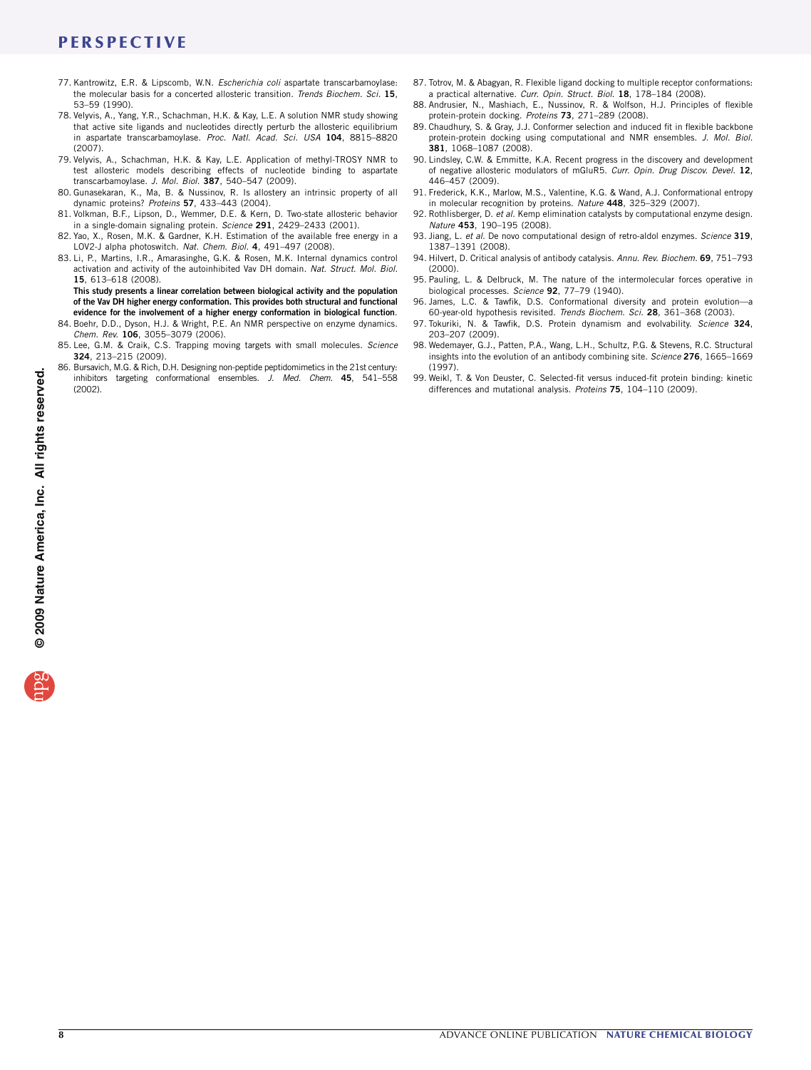### **PERSPECTIVE**

- <span id="page-7-0"></span>77. Kantrowitz, E.R. & Lipscomb, W.N. *Escherichia coli* aspartate transcarbamoylase: the molecular basis for a concerted allosteric transition. *Trends Biochem. Sci.* **15**, 53–59 (1990).
- 78. Velyvis, A., Yang, Y.R., Schachman, H.K. & Kay, L.E. A solution NMR study showing that active site ligands and nucleotides directly perturb the allosteric equilibrium in aspartate transcarbamoylase. *Proc. Natl. Acad. Sci. USA* **104**, 8815–8820 (2007).
- 79. Velyvis, A., Schachman, H.K. & Kay, L.E. Application of methyl-TROSY NMR to test allosteric models describing effects of nucleotide binding to aspartate transcarbamoylase. *J. Mol. Biol.* **387**, 540–547 (2009).
- <span id="page-7-1"></span>80. Gunasekaran, K., Ma, B. & Nussinov, R. Is allostery an intrinsic property of all dynamic proteins? *Proteins* **57**, 433–443 (2004).
- <span id="page-7-2"></span>81. Volkman, B.F., Lipson, D., Wemmer, D.E. & Kern, D. Two-state allosteric behavior in a single-domain signaling protein. *Science* **291**, 2429–2433 (2001).
- <span id="page-7-3"></span>82. Yao, X., Rosen, M.K. & Gardner, K.H. Estimation of the available free energy in a LOV2-J alpha photoswitch. *Nat. Chem. Biol.* **4**, 491–497 (2008).
- <span id="page-7-4"></span>83. Li, P., Martins, I.R., Amarasinghe, G.K. & Rosen, M.K. Internal dynamics control activation and activity of the autoinhibited Vav DH domain. *Nat. Struct. Mol. Biol.* **15**, 613–618 (2008).

**This study presents a linear correlation between biological activity and the population of the Vav DH higher energy conformation. This provides both structural and functional evidence for the involvement of a higher energy conformation in biological function**.

- <span id="page-7-12"></span>84. Boehr, D.D., Dyson, H.J. & Wright, P.E. An NMR perspective on enzyme dynamics. *Chem. Rev.* **106**, 3055–3079 (2006).
- <span id="page-7-8"></span>85. Lee, G.M. & Craik, C.S. Trapping moving targets with small molecules. *Science* **324**, 213–215 (2009).
- <span id="page-7-6"></span>86. Bursavich, M.G. & Rich, D.H. Designing non-peptide peptidomimetics in the 21st century: inhibitors targeting conformational ensembles. *J. Med. Chem.* **45**, 541–558 (2002).
- 87. Totrov, M. & Abagyan, R. Flexible ligand docking to multiple receptor conformations: a practical alternative. *Curr. Opin. Struct. Biol.* **18**, 178–184 (2008).
- <span id="page-7-5"></span>88. Andrusier, N., Mashiach, E., Nussinov, R. & Wolfson, H.J. Principles of flexible protein-protein docking. *Proteins* **73**, 271–289 (2008).
- 89. Chaudhury, S. & Gray, J.J. Conformer selection and induced fit in flexible backbone protein-protein docking using computational and NMR ensembles. *J. Mol. Biol.* **381**, 1068–1087 (2008).
- <span id="page-7-7"></span>90. Lindsley, C.W. & Emmitte, K.A. Recent progress in the discovery and development of negative allosteric modulators of mGluR5. *Curr. Opin. Drug Discov. Devel.* **12**, 446–457 (2009).
- <span id="page-7-9"></span>91. Frederick, K.K., Marlow, M.S., Valentine, K.G. & Wand, A.J. Conformational entropy in molecular recognition by proteins. *Nature* **448**, 325–329 (2007).
- <span id="page-7-11"></span>92. Rothlisberger, D. *et al.* Kemp elimination catalysts by computational enzyme design. *Nature* **453**, 190–195 (2008).
- 93. Jiang, L. *et al.* De novo computational design of retro-aldol enzymes. *Science* **319**, 1387–1391 (2008).
- <span id="page-7-10"></span>94. Hilvert, D. Critical analysis of antibody catalysis. *Annu. Rev. Biochem.* **69**, 751–793 (2000).
- <span id="page-7-13"></span>95. Pauling, L. & Delbruck, M. The nature of the intermolecular forces operative in biological processes. *Science* **92**, 77–79 (1940).
- 96. James, L.C. & Tawfik, D.S. Conformational diversity and protein evolution—a 60-year-old hypothesis revisited. *Trends Biochem. Sci.* **28**, 361–368 (2003).
- 97. Tokuriki, N. & Tawfik, D.S. Protein dynamism and evolvability. *Science* **324**, 203–207 (2009).
- 98. Wedemayer, G.J., Patten, P.A., Wang, L.H., Schultz, P.G. & Stevens, R.C. Structural insights into the evolution of an antibody combining site. *Science* **276**, 1665–1669 (1997).
- 99. Weikl, T. & Von Deuster, C. Selected-fit versus induced-fit protein binding: kinetic differences and mutational analysis. *Proteins* **75**, 104–110 (2009).